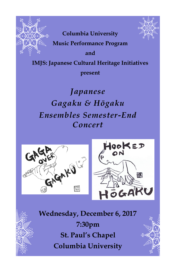



**Columbia University**

**Music Performance Program** 

**and** 

**IMJS: Japanese Cultural Heritage Initiatives** 

**present**

*Japanese Gagaku & Hōgaku Ensembles Semester-End Concert*





**Wednesday, December 6, 2017 7:30pm St. Paul's Chapel Columbia University**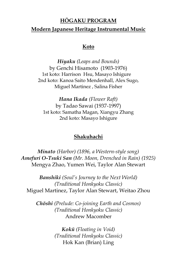### **HŌGAKU PROGRAM**

#### **Modern Japanese Heritage Instrumental Music**

#### **Koto**

*Hiyaku (Leaps and Bounds)* by Genchi Hisamoto (1903-1976) 1st koto: Harrison Hsu, Masayo Ishigure 2nd koto: Kanoa Saito Mendenhall, Alex Sugo, Miguel Martinez , Salina Fisher

*Hana Ikada (Flower Raft)* by Tadao Sawai (1937-1997) 1st koto: Samatha Magan, Xiangyu Zhang 2nd koto: Masayo Ishigure

#### **Shakuhachi**

*Minato (Harbor) (1896, a Western-style song) Amefuri O-Tsuki San (Mr. Moon, Drenched in Rain) (1925)* Mengya Zhao, Yumen Wei, Taylor Alan Stewart

*Banshiki (Soul's Journey to the Next World) (Traditional Honkyoku Classic)* Miguel Martinez, Taylor Alan Stewart, Weitao Zhou

*Chōshi (Prelude: Co-joining Earth and Cosmos) (Traditional Honkyoku Classic)* Andrew Macomber

> *Kokū (Floating in Void) (Traditional Honkyoku Classic)* Hok Kan (Brian) Ling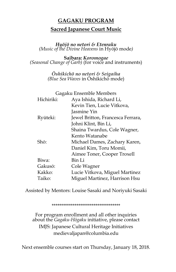## **GAGAKU PROGRAM Sacred Japanese Court Music**

*Hyōjō no netori & Etenraku (Music of the Divine Heavens* in Hyōjō mode*)*

**Saibara:** *Koromogae (Seasonal Change of Garb)* (for voice and instruments)

> *Ōshikichō no netori & Seigaiha (Blue Sea Waves* in Ōshikichō mode)

| Gagaku Ensemble Members           |  |
|-----------------------------------|--|
|                                   |  |
|                                   |  |
|                                   |  |
| Jewel Britton, Francesca Ferrara, |  |
|                                   |  |
| Shaina Twardus, Cole Wagner,      |  |
|                                   |  |
| Michael Dames, Zachary Karen,     |  |
|                                   |  |
|                                   |  |
|                                   |  |
|                                   |  |
| Lucie Vitkova, Miguel Martinez    |  |
| Miguel Martinez, Harrison Hsu     |  |
| Aimee Toner, Cooper Troxell       |  |

Assisted by Mentors: Louise Sasaki and Noriyuki Sasaki

\*\*\*\*\*\*\*\*\*\*\*\*\*\*\*\*\*\*\*\*\*\*\*\*\*\*\*\*\*\*\*\*\*\*\*\*

For program enrollment and all other inquiries about the *Gagaku-Hōgaku* initiative, please contact IMJS: Japanese Cultural Heritage Initiatives medievaljapan@columbia.edu

Next ensemble courses start on Thursday, January 18, 2018.